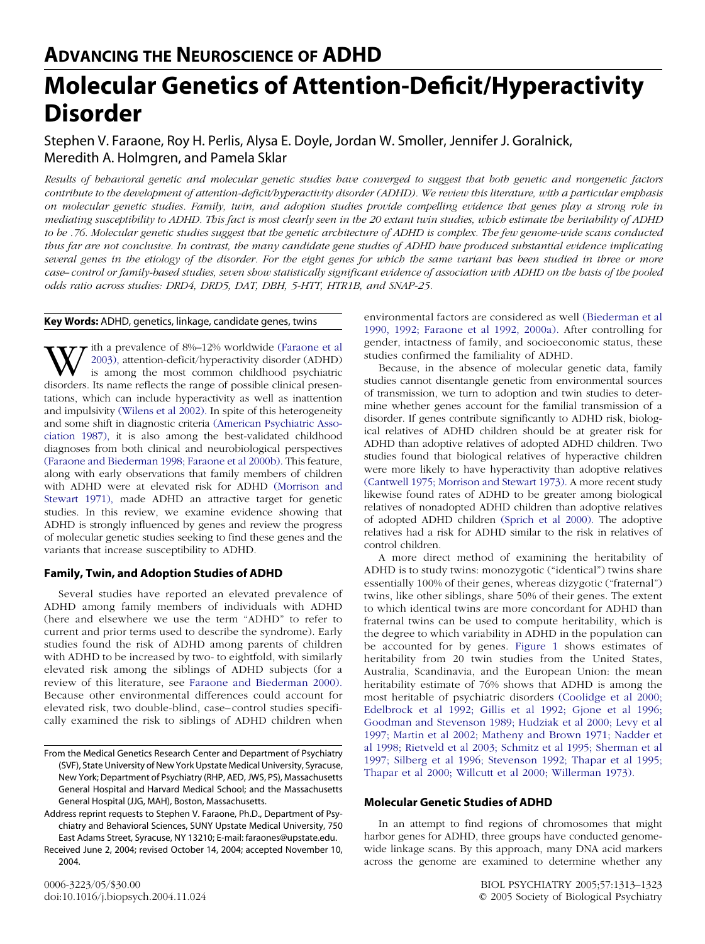# **Molecular Genetics of Attention-Deficit/Hyperactivity Disorder**

# Stephen V. Faraone, Roy H. Perlis, Alysa E. Doyle, Jordan W. Smoller, Jennifer J. Goralnick, Meredith A. Holmgren, and Pamela Sklar

*Results of behavioral genetic and molecular genetic studies have converged to suggest that both genetic and nongenetic factors contribute to the development of attention-deficit/hyperactivity disorder (ADHD). We review this literature, with a particular emphasis on molecular genetic studies. Family, twin, and adoption studies provide compelling evidence that genes play a strong role in mediating susceptibility to ADHD. This fact is most clearly seen in the 20 extant twin studies, which estimate the heritability of ADHD to be .76. Molecular genetic studies suggest that the genetic architecture of ADHD is complex. The few genome-wide scans conducted thus far are not conclusive. In contrast, the many candidate gene studies of ADHD have produced substantial evidence implicating several genes in the etiology of the disorder. For the eight genes for which the same variant has been studied in three or more case– control or family-based studies, seven show statistically significant evidence of association with ADHD on the basis of the pooled odds ratio across studies: DRD4, DRD5, DAT, DBH, 5-HTT, HTR1B, and SNAP-25.*

# **Key Words:** ADHD, genetics, linkage, candidate genes, twins

With a prevalence of 8%–12% worldwide [\(Faraone](#page-8-0) et all<br>is among the most common childhood psychiatric<br>disorders Its name reflects the range of possible clinical presen-[2003\)](#page-8-0), attention-deficit/hyperactivity disorder (ADHD) is among the most common childhood psychiatric disorders. Its name reflects the range of possible clinical presentations, which can include hyperactivity as well as inattention and impulsivity [\(Wilens](#page-10-0) et al 2002). In spite of this heterogeneity and some shift in diagnostic criteria (American [Psychiatric](#page-7-0) Asso[ciation](#page-7-0) 1987), it is also among the best-validated childhood diagnoses from both clinical and neurobiological perspectives (Faraone and [Biederman](#page-8-0) 1998; [Faraone](#page-8-0) et al 2000b). This feature, along with early observations that family members of children with ADHD were at elevated risk for ADHD [\(Morrison](#page-9-0) and [Stewart](#page-9-0) 1971), made ADHD an attractive target for genetic studies. In this review, we examine evidence showing that ADHD is strongly influenced by genes and review the progress of molecular genetic studies seeking to find these genes and the variants that increase susceptibility to ADHD.

# **Family, Twin, and Adoption Studies of ADHD**

Several studies have reported an elevated prevalence of ADHD among family members of individuals with ADHD (here and elsewhere we use the term "ADHD" to refer to current and prior terms used to describe the syndrome). Early studies found the risk of ADHD among parents of children with ADHD to be increased by two- to eightfold, with similarly elevated risk among the siblings of ADHD subjects (for a review of this literature, see Faraone and [Biederman](#page-8-0) 2000). Because other environmental differences could account for elevated risk, two double-blind, case– control studies specifically examined the risk to siblings of ADHD children when

environmental factors are considered as well [\(Biederman](#page-7-0) et al [1990,](#page-7-0) [1992;](#page-7-0) [Faraone](#page-8-0) et al 1992, [2000a\)](#page-8-0). After controlling for gender, intactness of family, and socioeconomic status, these studies confirmed the familiality of ADHD.

Because, in the absence of molecular genetic data, family studies cannot disentangle genetic from environmental sources of transmission, we turn to adoption and twin studies to determine whether genes account for the familial transmission of a disorder. If genes contribute significantly to ADHD risk, biological relatives of ADHD children should be at greater risk for ADHD than adoptive relatives of adopted ADHD children. Two studies found that biological relatives of hyperactive children were more likely to have hyperactivity than adoptive relatives [\(Cantwell](#page-7-0) 1975; [Morrison](#page-9-0) and Stewart 1973). A more recent study likewise found rates of ADHD to be greater among biological relatives of nonadopted ADHD children than adoptive relatives of adopted ADHD children [\(Sprich](#page-10-0) et al 2000). The adoptive relatives had a risk for ADHD similar to the risk in relatives of control children.

A more direct method of examining the heritability of ADHD is to study twins: monozygotic ("identical") twins share essentially 100% of their genes, whereas dizygotic ("fraternal") twins, like other siblings, share 50% of their genes. The extent to which identical twins are more concordant for ADHD than fraternal twins can be used to compute heritability, which is the degree to which variability in ADHD in the population can be accounted for by genes. [Figure](#page-1-0) 1 shows estimates of heritability from 20 twin studies from the United States, Australia, Scandinavia, and the European Union: the mean heritability estimate of 76% shows that ADHD is among the most heritable of [psychiatric](#page-7-0) disorders [\(Coolidge](#page-7-0) et al 2000; [Edelbrock](#page-8-0) et al 1992; Gillis et al [1992;](#page-8-0) [Gjone](#page-8-0) et al 1996; Goodman and [Stevenson](#page-8-0) 1989; [Hudziak](#page-8-0) et al 2000; [Levy](#page-9-0) et al [1997;](#page-9-0) [Martin](#page-9-0) et al 2002; [Matheny](#page-9-0) and Brown 1971; [Nadder](#page-9-0) et al [1998;](#page-9-0) [Rietveld](#page-9-0) et al 2003; [Schmitz](#page-10-0) et al 1995; [Sherman](#page-10-0) et al [1997;](#page-10-0) [Silberg](#page-10-0) et al 1996; [Stevenson](#page-10-0) 1992; [Thapar](#page-10-0) et al 1995; [Thapar](#page-10-0) et al 2000; [Willcutt](#page-10-0) et al 2000; [Willerman](#page-10-0) 1973).

# **Molecular Genetic Studies of ADHD**

In an attempt to find regions of chromosomes that might harbor genes for ADHD, three groups have conducted genomewide linkage scans. By this approach, many DNA acid markers across the genome are examined to determine whether any

From the Medical Genetics Research Center and Department of Psychiatry (SVF), State University of New York Upstate Medical University, Syracuse, New York; Department of Psychiatry (RHP, AED, JWS, PS), Massachusetts General Hospital and Harvard Medical School; and the Massachusetts General Hospital (JJG, MAH), Boston, Massachusetts.

Address reprint requests to Stephen V. Faraone, Ph.D., Department of Psychiatry and Behavioral Sciences, SUNY Upstate Medical University, 750 East Adams Street, Syracuse, NY 13210; E-mail: faraones@upstate.edu.

Received June 2, 2004; revised October 14, 2004; accepted November 10, 2004.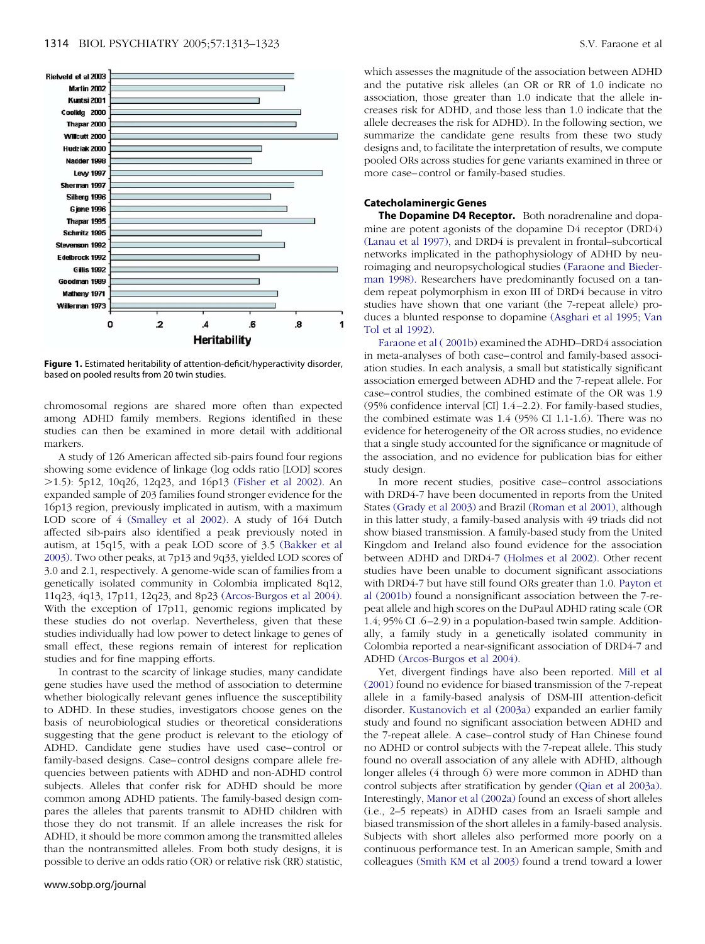<span id="page-1-0"></span>

**Figure 1.** Estimated heritability of attention-deficit/hyperactivity disorder, based on pooled results from 20 twin studies.

chromosomal regions are shared more often than expected among ADHD family members. Regions identified in these studies can then be examined in more detail with additional markers.

A study of 126 American affected sib-pairs found four regions showing some evidence of linkage (log odds ratio [LOD] scores 1.5): 5p12, 10q26, 12q23, and 16p13 [\(Fisher](#page-8-0) et al 2002). An expanded sample of 203 families found stronger evidence for the 16p13 region, previously implicated in autism, with a maximum LOD score of 4 [\(Smalley](#page-10-0) et al 2002). A study of 164 Dutch affected sib-pairs also identified a peak previously noted in autism, at 15q15, with a peak LOD score of 3.5 [\(Bakker](#page-7-0) et al [2003\)](#page-7-0). Two other peaks, at 7p13 and 9q33, yielded LOD scores of 3.0 and 2.1, respectively. A genome-wide scan of families from a genetically isolated community in Colombia implicated 8q12, 11q23, 4q13, 17p11, 12q23, and 8p23 [\(Arcos-Burgos](#page-7-0) et al 2004). With the exception of 17p11, genomic regions implicated by these studies do not overlap. Nevertheless, given that these studies individually had low power to detect linkage to genes of small effect, these regions remain of interest for replication studies and for fine mapping efforts.

In contrast to the scarcity of linkage studies, many candidate gene studies have used the method of association to determine whether biologically relevant genes influence the susceptibility to ADHD. In these studies, investigators choose genes on the basis of neurobiological studies or theoretical considerations suggesting that the gene product is relevant to the etiology of ADHD. Candidate gene studies have used case– control or family-based designs. Case– control designs compare allele frequencies between patients with ADHD and non-ADHD control subjects. Alleles that confer risk for ADHD should be more common among ADHD patients. The family-based design compares the alleles that parents transmit to ADHD children with those they do not transmit. If an allele increases the risk for ADHD, it should be more common among the transmitted alleles than the nontransmitted alleles. From both study designs, it is possible to derive an odds ratio (OR) or relative risk (RR) statistic,

which assesses the magnitude of the association between ADHD and the putative risk alleles (an OR or RR of 1.0 indicate no association, those greater than 1.0 indicate that the allele increases risk for ADHD, and those less than 1.0 indicate that the allele decreases the risk for ADHD). In the following section, we summarize the candidate gene results from these two study designs and, to facilitate the interpretation of results, we compute pooled ORs across studies for gene variants examined in three or more case– control or family-based studies.

#### **Catecholaminergic Genes**

**The Dopamine D4 Receptor.** Both noradrenaline and dopamine are potent agonists of the dopamine D4 receptor (DRD4) [\(Lanau](#page-8-0) et al 1997), and DRD4 is prevalent in frontal–subcortical networks implicated in the pathophysiology of ADHD by neuroimaging and neuropsychological studies [\(Faraone](#page-8-0) and Biederman [1998\)](#page-8-0). Researchers have predominantly focused on a tandem repeat polymorphism in exon III of DRD4 because in vitro studies have shown that one variant (the 7-repeat allele) produces a blunted response to dopamine [\(Asghari](#page-7-0) et al 1995; [Van](#page-10-0) Tol et al [1992\)](#page-10-0).

[Faraone](#page-8-0) et al ( 2001b) examined the ADHD–DRD4 association in meta-analyses of both case– control and family-based association studies. In each analysis, a small but statistically significant association emerged between ADHD and the 7-repeat allele. For case– control studies, the combined estimate of the OR was 1.9 (95% confidence interval [CI] 1.4 –2.2). For family-based studies, the combined estimate was 1.4 (95% CI 1.1-1.6). There was no evidence for heterogeneity of the OR across studies, no evidence that a single study accounted for the significance or magnitude of the association, and no evidence for publication bias for either study design.

In more recent studies, positive case– control associations with DRD4-7 have been documented in reports from the United States [\(Grady](#page-8-0) et al 2003) and Brazil [\(Roman](#page-9-0) et al 2001), although in this latter study, a family-based analysis with 49 triads did not show biased transmission. A family-based study from the United Kingdom and Ireland also found evidence for the association between ADHD and DRD4-7 [\(Holmes](#page-8-0) et al 2002). Other recent studies have been unable to document significant associations with DRD4-7 but have still found ORs greater than 1.0. [Payton](#page-9-0) et al [\(2001b\)](#page-9-0) found a nonsignificant association between the 7-repeat allele and high scores on the DuPaul ADHD rating scale (OR 1.4; 95% CI .6 –2.9) in a population-based twin sample. Additionally, a family study in a genetically isolated community in Colombia reported a near-significant association of DRD4-7 and ADHD [\(Arcos-Burgos](#page-7-0) et al 2004).

Yet, divergent findings have also been reported. [Mill](#page-9-0) et al [\(2001\)](#page-9-0) found no evidence for biased transmission of the 7-repeat allele in a family-based analysis of DSM-III attention-deficit disorder. [Kustanovich](#page-8-0) et al (2003a) expanded an earlier family study and found no significant association between ADHD and the 7-repeat allele. A case– control study of Han Chinese found no ADHD or control subjects with the 7-repeat allele. This study found no overall association of any allele with ADHD, although longer alleles (4 through 6) were more common in ADHD than control subjects after stratification by gender (Qian et al [2003a\)](#page-9-0). Interestingly, Manor et al [\(2002a\)](#page-9-0) found an excess of short alleles (i.e., 2–5 repeats) in ADHD cases from an Israeli sample and biased transmission of the short alleles in a family-based analysis. Subjects with short alleles also performed more poorly on a continuous performance test. In an American sample, Smith and colleagues [\(Smith](#page-10-0) KM et al 2003) found a trend toward a lower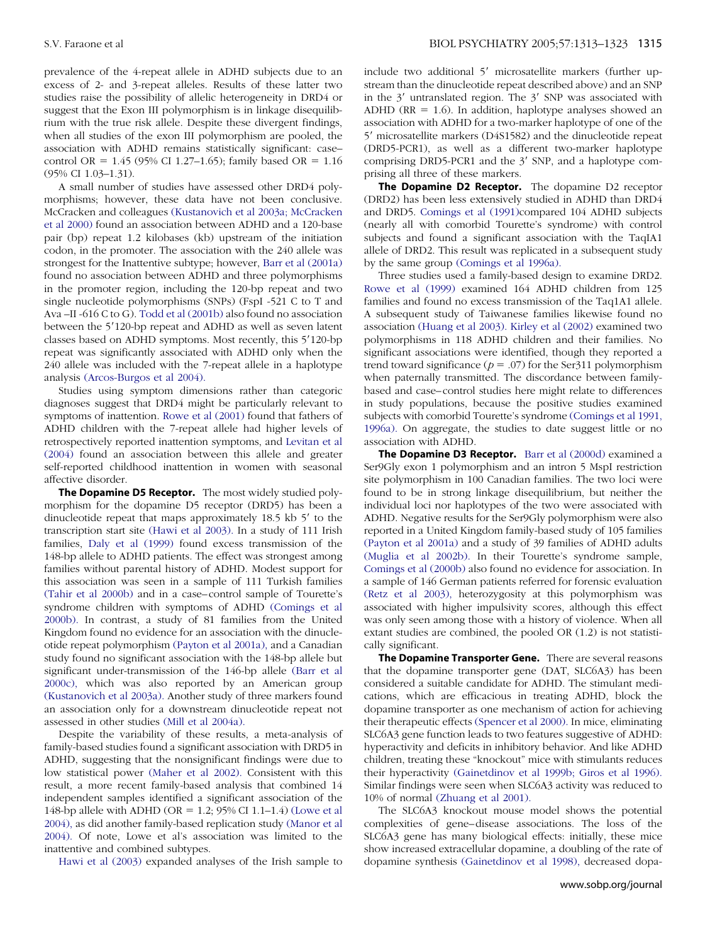prevalence of the 4-repeat allele in ADHD subjects due to an excess of 2- and 3-repeat alleles. Results of these latter two studies raise the possibility of allelic heterogeneity in DRD4 or suggest that the Exon III polymorphism is in linkage disequilibrium with the true risk allele. Despite these divergent findings, when all studies of the exon III polymorphism are pooled, the association with ADHD remains statistically significant: case– control OR =  $1.45$  (95% CI 1.27–1.65); family based OR =  $1.16$ (95% CI 1.03–1.31).

A small number of studies have assessed other DRD4 polymorphisms; however, these data have not been conclusive. McCracken and colleagues [\(Kustanovich](#page-8-0) et al 2003a; [McCracken](#page-9-0) et al [2000\)](#page-9-0) found an association between ADHD and a 120-base pair (bp) repeat 1.2 kilobases (kb) upstream of the initiation codon, in the promoter. The association with the 240 allele was strongest for the Inattentive subtype; however, Barr et al [\(2001a\)](#page-7-0) found no association between ADHD and three polymorphisms in the promoter region, including the 120-bp repeat and two single nucleotide polymorphisms (SNPs) (FspI -521 C to T and Ava –II -616 C to G). Todd et al [\(2001b\)](#page-10-0) also found no association between the 5'120-bp repeat and ADHD as well as seven latent classes based on ADHD symptoms. Most recently, this 5'120-bp repeat was significantly associated with ADHD only when the 240 allele was included with the 7-repeat allele in a haplotype analysis [\(Arcos-Burgos](#page-7-0) et al 2004).

Studies using symptom dimensions rather than categoric diagnoses suggest that DRD4 might be particularly relevant to symptoms of inattention. Rowe et al [\(2001\)](#page-9-0) found that fathers of ADHD children with the 7-repeat allele had higher levels of retrospectively reported inattention symptoms, and [Levitan](#page-9-0) et al [\(2004\)](#page-9-0) found an association between this allele and greater self-reported childhood inattention in women with seasonal affective disorder.

**The Dopamine D5 Receptor.** The most widely studied polymorphism for the dopamine D5 receptor (DRD5) has been a dinucleotide repeat that maps approximately 18.5 kb 5' to the transcription start site [\(Hawi](#page-8-0) et al 2003). In a study of 111 Irish families, Daly et al [\(1999\)](#page-7-0) found excess transmission of the 148-bp allele to ADHD patients. The effect was strongest among families without parental history of ADHD. Modest support for this association was seen in a sample of 111 Turkish families (Tahir et al [2000b\)](#page-10-0) and in a case–control sample of Tourette's syndrome children with symptoms of ADHD [\(Comings](#page-7-0) et al [2000b\)](#page-7-0). In contrast, a study of 81 families from the United Kingdom found no evidence for an association with the dinucleotide repeat polymorphism [\(Payton](#page-9-0) et al 2001a), and a Canadian study found no significant association with the 148-bp allele but significant under-transmission of the 146-bp allele [\(Barr](#page-7-0) et al [2000c\)](#page-7-0), which was also reported by an American group [\(Kustanovich](#page-8-0) et al 2003a). Another study of three markers found an association only for a downstream dinucleotide repeat not assessed in other studies (Mill et al [2004a\)](#page-9-0).

Despite the variability of these results, a meta-analysis of family-based studies found a significant association with DRD5 in ADHD, suggesting that the nonsignificant findings were due to low statistical power [\(Maher](#page-9-0) et al 2002). Consistent with this result, a more recent family-based analysis that combined 14 independent samples identified a significant association of the 148-bp allele with ADHD (OR = 1.2; 95% CI 1.1–1.4) [\(Lowe](#page-9-0) et al [2004\)](#page-9-0), as did another family-based replication study [\(Manor](#page-9-0) et al [2004\)](#page-9-0). Of note, Lowe et al's association was limited to the inattentive and combined subtypes.

Hawi et al [\(2003\)](#page-8-0) expanded analyses of the Irish sample to

include two additional 5' microsatellite markers (further upstream than the dinucleotide repeat described above) and an SNP in the  $3'$  untranslated region. The  $3'$  SNP was associated with ADHD ( $RR = 1.6$ ). In addition, haplotype analyses showed an association with ADHD for a two-marker haplotype of one of the 5' microsatellite markers (D4S1582) and the dinucleotide repeat (DRD5-PCR1), as well as a different two-marker haplotype comprising DRD5-PCR1 and the 3' SNP, and a haplotype comprising all three of these markers.

**The Dopamine D2 Receptor.** The dopamine D2 receptor (DRD2) has been less extensively studied in ADHD than DRD4 and DRD5. [Comings](#page-7-0) et al (1991)compared 104 ADHD subjects (nearly all with comorbid Tourette's syndrome) with control subjects and found a significant association with the TaqIA1 allele of DRD2. This result was replicated in a subsequent study by the same group [\(Comings](#page-7-0) et al 1996a).

Three studies used a family-based design to examine DRD2. Rowe et al [\(1999\)](#page-9-0) examined 164 ADHD children from 125 families and found no excess transmission of the Taq1A1 allele. A subsequent study of Taiwanese families likewise found no association [\(Huang](#page-8-0) et al 2003). [Kirley](#page-8-0) et al (2002) examined two polymorphisms in 118 ADHD children and their families. No significant associations were identified, though they reported a trend toward significance  $(p = .07)$  for the Ser311 polymorphism when paternally transmitted. The discordance between familybased and case– control studies here might relate to differences in study populations, because the positive studies examined subjects with comorbid Tourette's syndrome [\(Comings](#page-7-0) et al 1991, [1996a\)](#page-7-0). On aggregate, the studies to date suggest little or no association with ADHD.

**The Dopamine D3 Receptor.** Barr et al [\(2000d\)](#page-7-0) examined a Ser9Gly exon 1 polymorphism and an intron 5 MspI restriction site polymorphism in 100 Canadian families. The two loci were found to be in strong linkage disequilibrium, but neither the individual loci nor haplotypes of the two were associated with ADHD. Negative results for the Ser9Gly polymorphism were also reported in a United Kingdom family-based study of 105 families [\(Payton](#page-9-0) et al 2001a) and a study of 39 families of ADHD adults [\(Muglia](#page-9-0) et al 2002b). In their Tourette's syndrome sample, [Comings](#page-7-0) et al (2000b) also found no evidence for association. In a sample of 146 German patients referred for forensic evaluation (Retz et al [2003\)](#page-9-0), heterozygosity at this polymorphism was associated with higher impulsivity scores, although this effect was only seen among those with a history of violence. When all extant studies are combined, the pooled OR (1.2) is not statistically significant.

**The Dopamine Transporter Gene.** There are several reasons that the dopamine transporter gene (DAT, SLC6A3) has been considered a suitable candidate for ADHD. The stimulant medications, which are efficacious in treating ADHD, block the dopamine transporter as one mechanism of action for achieving their therapeutic effects [\(Spencer](#page-10-0) et al 2000). In mice, eliminating SLC6A3 gene function leads to two features suggestive of ADHD: hyperactivity and deficits in inhibitory behavior. And like ADHD children, treating these "knockout" mice with stimulants reduces their hyperactivity [\(Gainetdinov](#page-8-0) et al 1999b; [Giros](#page-8-0) et al 1996). Similar findings were seen when SLC6A3 activity was reduced to 10% of normal [\(Zhuang](#page-10-0) et al 2001).

The SLC6A3 knockout mouse model shows the potential complexities of gene– disease associations. The loss of the SLC6A3 gene has many biological effects: initially, these mice show increased extracellular dopamine, a doubling of the rate of dopamine synthesis [\(Gainetdinov](#page-8-0) et al 1998), decreased dopa-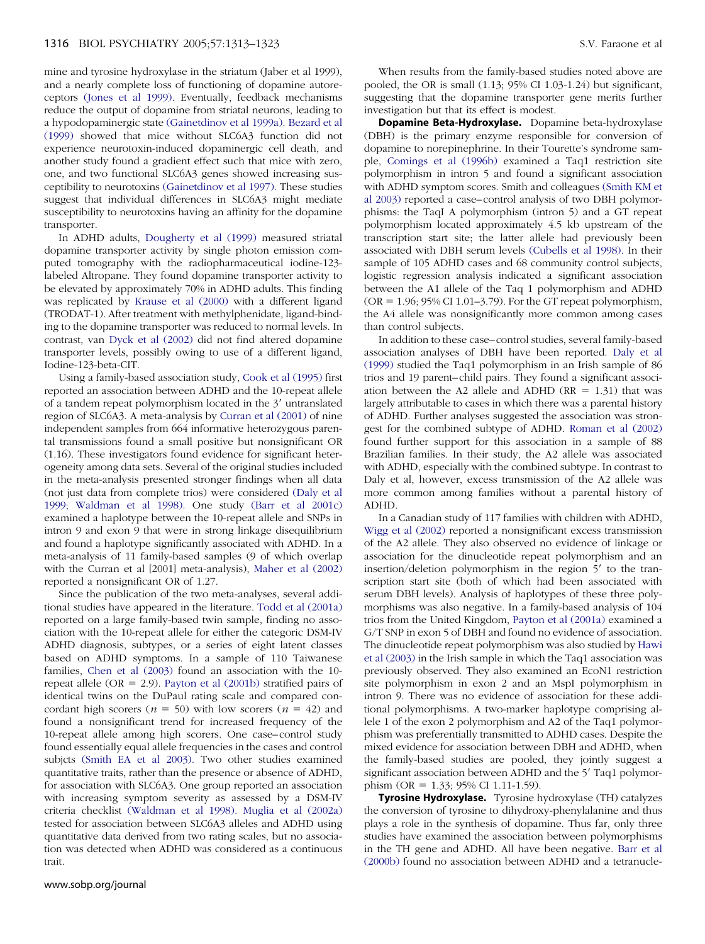mine and tyrosine hydroxylase in the striatum [\(Jaber et al 1999\)](#page-8-0), and a nearly complete loss of functioning of dopamine autoreceptors [\(Jones](#page-8-0) et al 1999). Eventually, feedback mechanisms reduce the output of dopamine from striatal neurons, leading to a hypodopaminergic state [\(Gainetdinov](#page-8-0) et al 1999a). [Bezard](#page-7-0) et al [\(1999\)](#page-7-0) showed that mice without SLC6A3 function did not experience neurotoxin-induced dopaminergic cell death, and another study found a gradient effect such that mice with zero, one, and two functional SLC6A3 genes showed increasing susceptibility to neurotoxins [\(Gainetdinov](#page-8-0) et al 1997). These studies suggest that individual differences in SLC6A3 might mediate susceptibility to neurotoxins having an affinity for the dopamine transporter.

In ADHD adults, [Dougherty](#page-8-0) et al (1999) measured striatal dopamine transporter activity by single photon emission computed tomography with the radiopharmaceutical iodine-123 labeled Altropane. They found dopamine transporter activity to be elevated by approximately 70% in ADHD adults. This finding was replicated by [Krause](#page-8-0) et al (2000) with a different ligand (TRODAT-1). After treatment with methylphenidate, ligand-binding to the dopamine transporter was reduced to normal levels. In contrast, van Dyck et al [\(2002\)](#page-10-0) did not find altered dopamine transporter levels, possibly owing to use of a different ligand, Iodine-123-beta-CIT.

Using a family-based association study, Cook et al [\(1995\)](#page-7-0) first reported an association between ADHD and the 10-repeat allele of a tandem repeat polymorphism located in the 3' untranslated region of SLC6A3. A meta-analysis by [Curran](#page-7-0) et al (2001) of nine independent samples from 664 informative heterozygous parental transmissions found a small positive but nonsignificant OR (1.16). These investigators found evidence for significant heterogeneity among data sets. Several of the original studies included in the meta-analysis presented stronger findings when all data (not just data from complete trios) were considered [\(Daly](#page-7-0) et al [1999;](#page-7-0) [Waldman](#page-10-0) et al 1998). One study (Barr et al [2001c\)](#page-7-0) examined a haplotype between the 10-repeat allele and SNPs in intron 9 and exon 9 that were in strong linkage disequilibrium and found a haplotype significantly associated with ADHD. In a meta-analysis of 11 family-based samples (9 of which overlap with the Curran et al [2001] meta-analysis), [Maher](#page-9-0) et al (2002) reported a nonsignificant OR of 1.27.

Since the publication of the two meta-analyses, several additional studies have appeared in the literature. Todd et al [\(2001a\)](#page-10-0) reported on a large family-based twin sample, finding no association with the 10-repeat allele for either the categoric DSM-IV ADHD diagnosis, subtypes, or a series of eight latent classes based on ADHD symptoms. In a sample of 110 Taiwanese families, Chen et al [\(2003\)](#page-7-0) found an association with the 10 repeat allele (OR = 2.9). Payton et al  $(2001b)$  stratified pairs of identical twins on the DuPaul rating scale and compared concordant high scorers ( $n = 50$ ) with low scorers ( $n = 42$ ) and found a nonsignificant trend for increased frequency of the 10-repeat allele among high scorers. One case– control study found essentially equal allele frequencies in the cases and control subjcts [\(Smith](#page-10-0) EA et al 2003). Two other studies examined quantitative traits, rather than the presence or absence of ADHD, for association with SLC6A3. One group reported an association with increasing symptom severity as assessed by a DSM-IV criteria checklist [\(Waldman](#page-10-0) et al 1998). Muglia et al [\(2002a\)](#page-9-0) tested for association between SLC6A3 alleles and ADHD using quantitative data derived from two rating scales, but no association was detected when ADHD was considered as a continuous trait.

When results from the family-based studies noted above are pooled, the OR is small (1.13; 95% CI 1.03-1.24) but significant, suggesting that the dopamine transporter gene merits further investigation but that its effect is modest.

**Dopamine Beta-Hydroxylase.** Dopamine beta-hydroxylase (DBH) is the primary enzyme responsible for conversion of dopamine to norepinephrine. In their Tourette's syndrome sample, [Comings](#page-7-0) et al (1996b) examined a Taq1 restriction site polymorphism in intron 5 and found a significant association with ADHD symptom scores. Smith and colleagues [\(Smith](#page-10-0) KM et al [2003\)](#page-10-0) reported a case–control analysis of two DBH polymorphisms: the TaqI A polymorphism (intron 5) and a GT repeat polymorphism located approximately 4.5 kb upstream of the transcription start site; the latter allele had previously been associated with DBH serum levels [\(Cubells](#page-7-0) et al 1998). In their sample of 105 ADHD cases and 68 community control subjects, logistic regression analysis indicated a significant association between the A1 allele of the Taq 1 polymorphism and ADHD  $(OR = 1.96; 95\% CI 1.01–3.79)$ . For the GT repeat polymorphism, the A4 allele was nonsignificantly more common among cases than control subjects.

In addition to these case– control studies, several family-based association analyses of DBH have been reported. [Daly](#page-7-0) et al [\(1999\)](#page-7-0) studied the Taq1 polymorphism in an Irish sample of 86 trios and 19 parent– child pairs. They found a significant association between the A2 allele and ADHD  $(RR = 1.31)$  that was largely attributable to cases in which there was a parental history of ADHD. Further analyses suggested the association was strongest for the combined subtype of ADHD. [Roman](#page-9-0) et al (2002) found further support for this association in a sample of 88 Brazilian families. In their study, the A2 allele was associated with ADHD, especially with the combined subtype. In contrast to Daly et al, however, excess transmission of the A2 allele was more common among families without a parental history of ADHD.

In a Canadian study of 117 families with children with ADHD, Wigg et al [\(2002\)](#page-10-0) reported a nonsignificant excess transmission of the A2 allele. They also observed no evidence of linkage or association for the dinucleotide repeat polymorphism and an insertion/deletion polymorphism in the region 5' to the transcription start site (both of which had been associated with serum DBH levels). Analysis of haplotypes of these three polymorphisms was also negative. In a family-based analysis of 104 trios from the United Kingdom, [Payton](#page-9-0) et al (2001a) examined a G/T SNP in exon 5 of DBH and found no evidence of association. The dinucleotide repeat polymorphism was also studied by [Hawi](#page-8-0) et al [\(2003\)](#page-8-0) in the Irish sample in which the Taq1 association was previously observed. They also examined an EcoN1 restriction site polymorphism in exon 2 and an MspI polymorphism in intron 9. There was no evidence of association for these additional polymorphisms. A two-marker haplotype comprising allele 1 of the exon 2 polymorphism and A2 of the Taq1 polymorphism was preferentially transmitted to ADHD cases. Despite the mixed evidence for association between DBH and ADHD, when the family-based studies are pooled, they jointly suggest a significant association between ADHD and the 5' Taq1 polymorphism (OR =  $1.33$ ; 95% CI 1.11-1.59).

**Tyrosine Hydroxylase.** Tyrosine hydroxylase (TH) catalyzes the conversion of tyrosine to dihydroxy-phenylalanine and thus plays a role in the synthesis of dopamine. Thus far, only three studies have examined the association between polymorphisms in the TH gene and ADHD. All have been negative. [Barr](#page-7-0) et al [\(2000b\)](#page-7-0) found no association between ADHD and a tetranucle-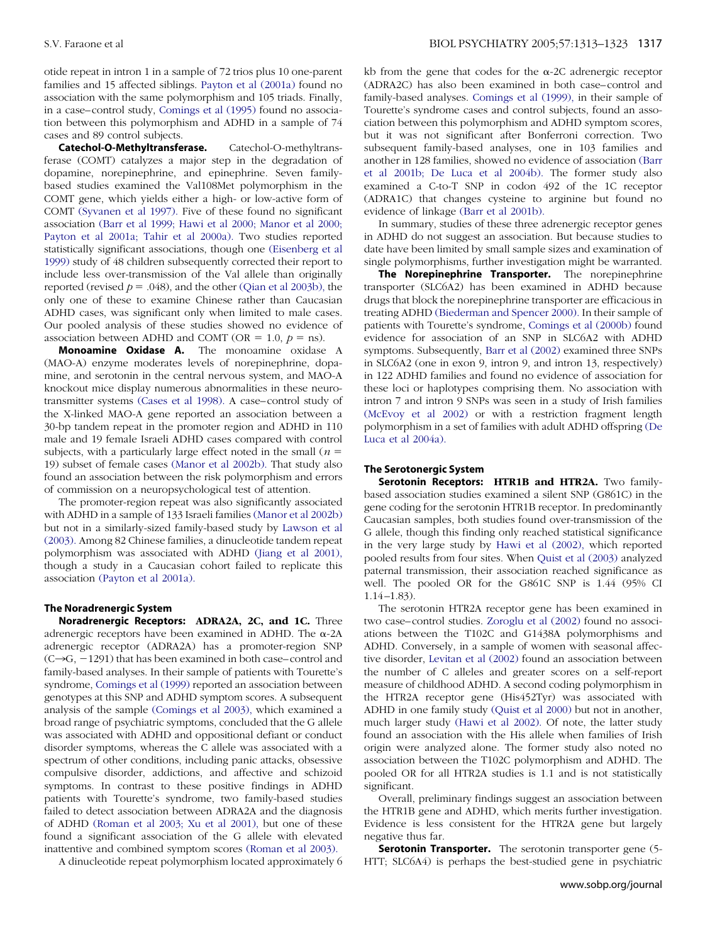otide repeat in intron 1 in a sample of 72 trios plus 10 one-parent families and 15 affected siblings. Payton et al [\(2001a\)](#page-9-0) found no association with the same polymorphism and 105 triads. Finally, in a case–control study, [Comings](#page-7-0) et al (1995) found no association between this polymorphism and ADHD in a sample of 74 cases and 89 control subjects.

**Catechol-O-Methyltransferase.** Catechol-O-methyltransferase (COMT) catalyzes a major step in the degradation of dopamine, norepinephrine, and epinephrine. Seven familybased studies examined the Val108Met polymorphism in the COMT gene, which yields either a high- or low-active form of COMT [\(Syvanen](#page-10-0) et al 1997). Five of these found no significant association (Barr et al [1999;](#page-7-0) [Hawi](#page-8-0) et al 2000; [Manor](#page-9-0) et al 2000; [Payton](#page-9-0) et al 2001a; Tahir et al [2000a\)](#page-10-0). Two studies reported statistically significant associations, though one [\(Eisenberg](#page-8-0) et al [1999\)](#page-8-0) study of 48 children subsequently corrected their report to include less over-transmission of the Val allele than originally reported (revised  $p = .048$ ), and the other (Qian et al [2003b\)](#page-9-0), the only one of these to examine Chinese rather than Caucasian ADHD cases, was significant only when limited to male cases. Our pooled analysis of these studies showed no evidence of association between ADHD and COMT (OR  $= 1.0, p = \text{ns}$ ).

**Monoamine Oxidase A.** The monoamine oxidase A (MAO-A) enzyme moderates levels of norepinephrine, dopamine, and serotonin in the central nervous system, and MAO-A knockout mice display numerous abnormalities in these neurotransmitter systems [\(Cases](#page-7-0) et al 1998). A case–control study of the X-linked MAO-A gene reported an association between a 30-bp tandem repeat in the promoter region and ADHD in 110 male and 19 female Israeli ADHD cases compared with control subjects, with a particularly large effect noted in the small  $(n =$ 19) subset of female cases [\(Manor](#page-9-0) et al 2002b). That study also found an association between the risk polymorphism and errors of commission on a neuropsychological test of attention.

The promoter-region repeat was also significantly associated with ADHD in a sample of 133 Israeli families [\(Manor](#page-9-0) et al 2002b) but not in a similarly-sized family-based study by [Lawson](#page-9-0) et al [\(2003\).](#page-9-0) Among 82 Chinese families, a dinucleotide tandem repeat polymorphism was associated with ADHD [\(Jiang](#page-8-0) et al 2001), though a study in a Caucasian cohort failed to replicate this association [\(Payton](#page-9-0) et al 2001a).

#### **The Noradrenergic System**

**Noradrenergic Receptors: ADRA2A, 2C, and 1C.** Three adrenergic receptors have been examined in ADHD. The  $\alpha$ -2A adrenergic receptor (ADRA2A) has a promoter-region SNP  $(C\rightarrow G, -1291)$  that has been examined in both case–control and family-based analyses. In their sample of patients with Tourette's syndrome, [Comings](#page-7-0) et al (1999) reported an association between genotypes at this SNP and ADHD symptom scores. A subsequent analysis of the sample [\(Comings](#page-7-0) et al 2003), which examined a broad range of psychiatric symptoms, concluded that the G allele was associated with ADHD and oppositional defiant or conduct disorder symptoms, whereas the C allele was associated with a spectrum of other conditions, including panic attacks, obsessive compulsive disorder, addictions, and affective and schizoid symptoms. In contrast to these positive findings in ADHD patients with Tourette's syndrome, two family-based studies failed to detect association between ADRA2A and the diagnosis of ADHD [\(Roman](#page-9-0) et al 2003; Xu et al [2001\)](#page-10-0), but one of these found a significant association of the G allele with elevated inattentive and combined symptom scores [\(Roman](#page-9-0) et al 2003).

A dinucleotide repeat polymorphism located approximately 6

kb from the gene that codes for the  $\alpha$ -2C adrenergic receptor (ADRA2C) has also been examined in both case– control and family-based analyses. [Comings](#page-7-0) et al (1999), in their sample of Tourette's syndrome cases and control subjects, found an association between this polymorphism and ADHD symptom scores, but it was not significant after Bonferroni correction. Two subsequent family-based analyses, one in 103 families and another in 128 families, showed no evidence of association [\(Barr](#page-7-0) et al [2001b;](#page-7-0) De Luca et al 2004b). The former study also examined a C-to-T SNP in codon 492 of the 1C receptor (ADRA1C) that changes cysteine to arginine but found no evidence of linkage (Barr et al [2001b\)](#page-7-0).

In summary, studies of these three adrenergic receptor genes in ADHD do not suggest an association. But because studies to date have been limited by small sample sizes and examination of single polymorphisms, further investigation might be warranted.

**The Norepinephrine Transporter.** The norepinephrine transporter (SLC6A2) has been examined in ADHD because drugs that block the norepinephrine transporter are efficacious in treating ADHD [\(Biederman](#page-7-0) and Spencer 2000). In their sample of patients with Tourette's syndrome, [Comings](#page-7-0) et al (2000b) found evidence for association of an SNP in SLC6A2 with ADHD symptoms. Subsequently, Barr et al [\(2002\)](#page-7-0) examined three SNPs in SLC6A2 (one in exon 9, intron 9, and intron 13, respectively) in 122 ADHD families and found no evidence of association for these loci or haplotypes comprising them. No association with intron 7 and intron 9 SNPs was seen in a study of Irish families [\(McEvoy](#page-9-0) et al 2002) or with a restriction fragment length polymorphism in a set of families with adult ADHD offspring [\(De](#page-7-0) Luca et al [2004a\)](#page-7-0).

#### **The Serotonergic System**

**Serotonin Receptors: HTR1B and HTR2A.** Two familybased association studies examined a silent SNP (G861C) in the gene coding for the serotonin HTR1B receptor. In predominantly Caucasian samples, both studies found over-transmission of the G allele, though this finding only reached statistical significance in the very large study by Hawi et al [\(2002\)](#page-8-0), which reported pooled results from four sites. When Quist et al [\(2003\)](#page-9-0) analyzed paternal transmission, their association reached significance as well. The pooled OR for the G861C SNP is 1.44 (95% CI  $1.14 - 1.83$ 

The serotonin HTR2A receptor gene has been examined in two case–control studies. [Zoroglu](#page-10-0) et al (2002) found no associations between the T102C and G1438A polymorphisms and ADHD. Conversely, in a sample of women with seasonal affective disorder, [Levitan](#page-9-0) et al (2002) found an association between the number of C alleles and greater scores on a self-report measure of childhood ADHD. A second coding polymorphism in the HTR2A receptor gene (His452Tyr) was associated with ADHD in one family study [\(Quist](#page-9-0) et al 2000) but not in another, much larger study [\(Hawi](#page-8-0) et al 2002). Of note, the latter study found an association with the His allele when families of Irish origin were analyzed alone. The former study also noted no association between the T102C polymorphism and ADHD. The pooled OR for all HTR2A studies is 1.1 and is not statistically significant.

Overall, preliminary findings suggest an association between the HTR1B gene and ADHD, which merits further investigation. Evidence is less consistent for the HTR2A gene but largely negative thus far.

**Serotonin Transporter.** The serotonin transporter gene (5-HTT; SLC6A4) is perhaps the best-studied gene in psychiatric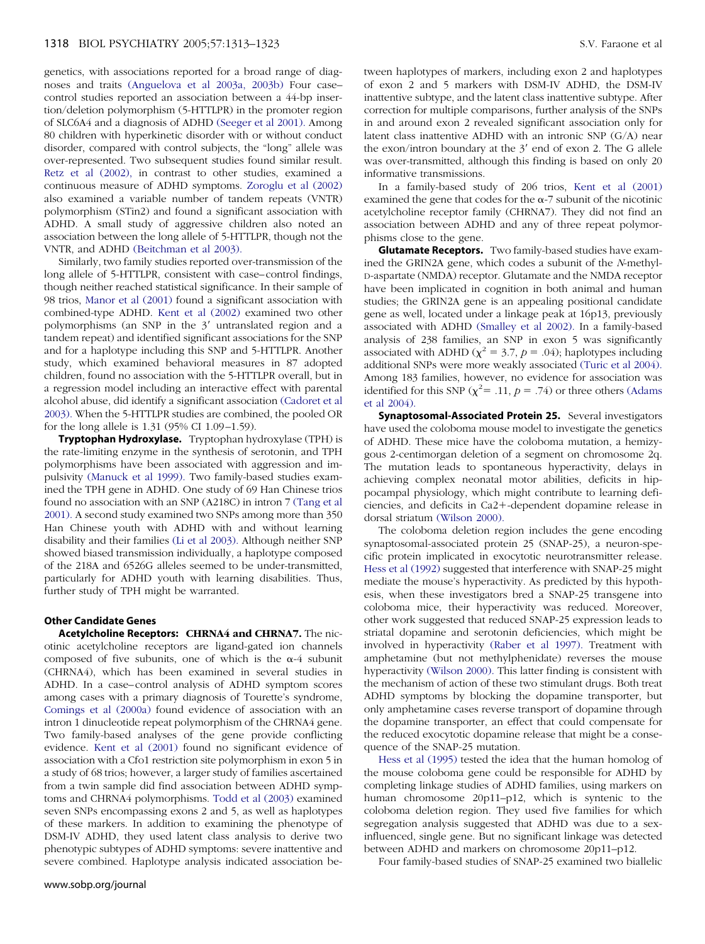genetics, with associations reported for a broad range of diagnoses and traits [\(Anguelova](#page-7-0) et al 2003a, [2003b\)](#page-7-0) Four case– control studies reported an association between a 44-bp insertion/deletion polymorphism (5-HTTLPR) in the promoter region of SLC6A4 and a diagnosis of ADHD [\(Seeger](#page-10-0) et al 2001). Among 80 children with hyperkinetic disorder with or without conduct disorder, compared with control subjects, the "long" allele was over-represented. Two subsequent studies found similar result. Retz et al [\(2002\)](#page-9-0), in contrast to other studies, examined a continuous measure of ADHD symptoms. [Zoroglu](#page-10-0) et al (2002) also examined a variable number of tandem repeats (VNTR) polymorphism (STin2) and found a significant association with ADHD. A small study of aggressive children also noted an association between the long allele of 5-HTTLPR, though not the VNTR, and ADHD [\(Beitchman](#page-7-0) et al 2003).

Similarly, two family studies reported over-transmission of the long allele of 5-HTTLPR, consistent with case– control findings, though neither reached statistical significance. In their sample of 98 trios, [Manor](#page-9-0) et al (2001) found a significant association with combined-type ADHD. Kent et al [\(2002\)](#page-8-0) examined two other polymorphisms (an SNP in the 3' untranslated region and a tandem repeat) and identified significant associations for the SNP and for a haplotype including this SNP and 5-HTTLPR. Another study, which examined behavioral measures in 87 adopted children, found no association with the 5-HTTLPR overall, but in a regression model including an interactive effect with parental alcohol abuse, did identify a significant association [\(Cadoret](#page-7-0) et al [2003\)](#page-7-0). When the 5-HTTLPR studies are combined, the pooled OR for the long allele is 1.31 (95% CI 1.09 –1.59).

**Tryptophan Hydroxylase.** Tryptophan hydroxylase (TPH) is the rate-limiting enzyme in the synthesis of serotonin, and TPH polymorphisms have been associated with aggression and impulsivity [\(Manuck](#page-9-0) et al 1999). Two family-based studies examined the TPH gene in ADHD. One study of 69 Han Chinese trios found no association with an SNP (A218C) in intron 7 [\(Tang](#page-10-0) et al [2001\)](#page-10-0). A second study examined two SNPs among more than 350 Han Chinese youth with ADHD with and without learning disability and their families (Li et al [2003\)](#page-9-0). Although neither SNP showed biased transmission individually, a haplotype composed of the 218A and 6526G alleles seemed to be under-transmitted, particularly for ADHD youth with learning disabilities. Thus, further study of TPH might be warranted.

#### **Other Candidate Genes**

**Acetylcholine Receptors: CHRNA4 and CHRNA7.** The nicotinic acetylcholine receptors are ligand-gated ion channels composed of five subunits, one of which is the  $\alpha$ -4 subunit (CHRNA4), which has been examined in several studies in ADHD. In a case– control analysis of ADHD symptom scores among cases with a primary diagnosis of Tourette's syndrome, [Comings](#page-7-0) et al (2000a) found evidence of association with an intron 1 dinucleotide repeat polymorphism of the CHRNA4 gene. Two family-based analyses of the gene provide conflicting evidence. Kent et al [\(2001\)](#page-8-0) found no significant evidence of association with a Cfo1 restriction site polymorphism in exon 5 in a study of 68 trios; however, a larger study of families ascertained from a twin sample did find association between ADHD symptoms and CHRNA4 polymorphisms. Todd et al [\(2003\)](#page-10-0) examined seven SNPs encompassing exons 2 and 5, as well as haplotypes of these markers. In addition to examining the phenotype of DSM-IV ADHD, they used latent class analysis to derive two phenotypic subtypes of ADHD symptoms: severe inattentive and severe combined. Haplotype analysis indicated association between haplotypes of markers, including exon 2 and haplotypes of exon 2 and 5 markers with DSM-IV ADHD, the DSM-IV inattentive subtype, and the latent class inattentive subtype. After correction for multiple comparisons, further analysis of the SNPs in and around exon 2 revealed significant association only for latent class inattentive ADHD with an intronic SNP (G/A) near the exon/intron boundary at the  $3'$  end of exon 2. The G allele was over-transmitted, although this finding is based on only 20 informative transmissions.

In a family-based study of 206 trios, Kent et al [\(2001\)](#page-8-0) examined the gene that codes for the  $\alpha$ -7 subunit of the nicotinic acetylcholine receptor family (CHRNA7). They did not find an association between ADHD and any of three repeat polymorphisms close to the gene.

**Glutamate Receptors.** Two family-based studies have examined the GRIN2A gene, which codes a subunit of the *N*-methyl-D-aspartate (NMDA) receptor. Glutamate and the NMDA receptor have been implicated in cognition in both animal and human studies; the GRIN2A gene is an appealing positional candidate gene as well, located under a linkage peak at 16p13, previously associated with ADHD [\(Smalley](#page-10-0) et al 2002). In a family-based analysis of 238 families, an SNP in exon 5 was significantly associated with ADHD ( $\chi^2 = 3.7$ ,  $p = .04$ ); haplotypes including additional SNPs were more weakly associated [\(Turic](#page-10-0) et al 2004). Among 183 families, however, no evidence for association was identified for this SNP ( $\chi^2$  = .11, *p* = .74) or three others [\(Adams](#page-6-0) et al [2004\)](#page-6-0).

**Synaptosomal-Associated Protein 25.** Several investigators have used the coloboma mouse model to investigate the genetics of ADHD. These mice have the coloboma mutation, a hemizygous 2-centimorgan deletion of a segment on chromosome 2q. The mutation leads to spontaneous hyperactivity, delays in achieving complex neonatal motor abilities, deficits in hippocampal physiology, which might contribute to learning deficiencies, and deficits in Ca2+-dependent dopamine release in dorsal striatum [\(Wilson](#page-10-0) 2000).

The coloboma deletion region includes the gene encoding synaptosomal-associated protein 25 (SNAP-25), a neuron-specific protein implicated in exocytotic neurotransmitter release. Hess et al [\(1992\)](#page-8-0) suggested that interference with SNAP-25 might mediate the mouse's hyperactivity. As predicted by this hypothesis, when these investigators bred a SNAP-25 transgene into coloboma mice, their hyperactivity was reduced. Moreover, other work suggested that reduced SNAP-25 expression leads to striatal dopamine and serotonin deficiencies, which might be involved in hyperactivity [\(Raber](#page-9-0) et al 1997). Treatment with amphetamine (but not methylphenidate) reverses the mouse hyperactivity [\(Wilson](#page-10-0) 2000). This latter finding is consistent with the mechanism of action of these two stimulant drugs. Both treat ADHD symptoms by blocking the dopamine transporter, but only amphetamine cases reverse transport of dopamine through the dopamine transporter, an effect that could compensate for the reduced exocytotic dopamine release that might be a consequence of the SNAP-25 mutation.

Hess et al [\(1995\)](#page-8-0) tested the idea that the human homolog of the mouse coloboma gene could be responsible for ADHD by completing linkage studies of ADHD families, using markers on human chromosome 20p11–p12, which is syntenic to the coloboma deletion region. They used five families for which segregation analysis suggested that ADHD was due to a sexinfluenced, single gene. But no significant linkage was detected between ADHD and markers on chromosome 20p11–p12.

Four family-based studies of SNAP-25 examined two biallelic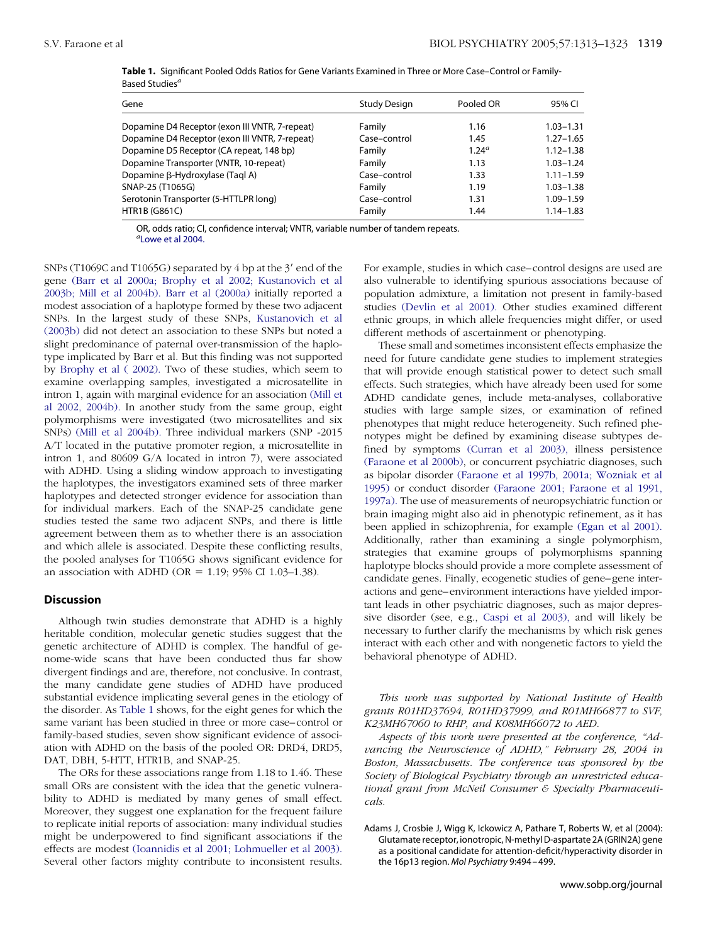| Gene                                           | <b>Study Design</b> | Pooled OR  | 95% CI        |
|------------------------------------------------|---------------------|------------|---------------|
| Dopamine D4 Receptor (exon III VNTR, 7-repeat) | Family              | 1.16       | $1.03 - 1.31$ |
| Dopamine D4 Receptor (exon III VNTR, 7-repeat) | Case-control        | 1.45       | $1.27 - 1.65$ |
| Dopamine D5 Receptor (CA repeat, 148 bp)       | Family              | $1.24^{a}$ | $1.12 - 1.38$ |
| Dopamine Transporter (VNTR, 10-repeat)         | Family              | 1.13       | $1.03 - 1.24$ |
| Dopamine β-Hydroxylase (Taql A)                | Case-control        | 1.33       | $1.11 - 1.59$ |
| SNAP-25 (T1065G)                               | Family              | 1.19       | $1.03 - 1.38$ |
| Serotonin Transporter (5-HTTLPR long)          | Case-control        | 1.31       | $1.09 - 1.59$ |
| HTR1B (G861C)                                  | Family              | 1.44       | $1.14 - 1.83$ |
|                                                |                     |            |               |

<span id="page-6-0"></span>**Table 1.** Significant Pooled Odds Ratios for Gene Variants Examined in Three or More Case–Control or Family-Based Studies*<sup>a</sup>*

OR, odds ratio; CI, confidence interval; VNTR, variable number of tandem repeats. *a* [Lowe](#page-9-0) et al 2004.

SNPs (T1069C and T1065G) separated by  $4$  bp at the  $3'$  end of the gene (Barr et al [2000a;](#page-7-0) [Brophy](#page-7-0) et al 2002; [Kustanovich](#page-8-0) et al [2003b;](#page-8-0) Mill et al [2004b\)](#page-9-0). Barr et al [\(2000a\)](#page-7-0) initially reported a modest association of a haplotype formed by these two adjacent SNPs. In the largest study of these SNPs, [Kustanovich](#page-8-0) et al [\(2003b\)](#page-8-0) did not detect an association to these SNPs but noted a slight predominance of paternal over-transmission of the haplotype implicated by Barr et al. But this finding was not supported by [Brophy](#page-7-0) et al ( 2002). Two of these studies, which seem to examine overlapping samples, investigated a microsatellite in intron 1, again with marginal evidence for an association [\(Mill](#page-9-0) et al [2002,](#page-9-0) [2004b\)](#page-9-0). In another study from the same group, eight polymorphisms were investigated (two microsatellites and six SNPs) (Mill et al [2004b\)](#page-9-0). Three individual markers (SNP -2015 A/T located in the putative promoter region, a microsatellite in intron 1, and 80609 G/A located in intron 7), were associated with ADHD. Using a sliding window approach to investigating the haplotypes, the investigators examined sets of three marker haplotypes and detected stronger evidence for association than for individual markers. Each of the SNAP-25 candidate gene studies tested the same two adjacent SNPs, and there is little agreement between them as to whether there is an association and which allele is associated. Despite these conflicting results, the pooled analyses for T1065G shows significant evidence for an association with ADHD (OR =  $1.19$ ; 95% CI 1.03-1.38).

#### **Discussion**

Although twin studies demonstrate that ADHD is a highly heritable condition, molecular genetic studies suggest that the genetic architecture of ADHD is complex. The handful of genome-wide scans that have been conducted thus far show divergent findings and are, therefore, not conclusive. In contrast, the many candidate gene studies of ADHD have produced substantial evidence implicating several genes in the etiology of the disorder. As Table 1 shows, for the eight genes for which the same variant has been studied in three or more case– control or family-based studies, seven show significant evidence of association with ADHD on the basis of the pooled OR: DRD4, DRD5, DAT, DBH, 5-HTT, HTR1B, and SNAP-25.

The ORs for these associations range from 1.18 to 1.46. These small ORs are consistent with the idea that the genetic vulnerability to ADHD is mediated by many genes of small effect. Moreover, they suggest one explanation for the frequent failure to replicate initial reports of association: many individual studies might be underpowered to find significant associations if the effects are modest [\(Ioannidis](#page-8-0) et al 2001; [Lohmueller](#page-9-0) et al 2003). Several other factors mighty contribute to inconsistent results.

For example, studies in which case– control designs are used are also vulnerable to identifying spurious associations because of population admixture, a limitation not present in family-based studies [\(Devlin](#page-7-0) et al 2001). Other studies examined different ethnic groups, in which allele frequencies might differ, or used different methods of ascertainment or phenotyping.

These small and sometimes inconsistent effects emphasize the need for future candidate gene studies to implement strategies that will provide enough statistical power to detect such small effects. Such strategies, which have already been used for some ADHD candidate genes, include meta-analyses, collaborative studies with large sample sizes, or examination of refined phenotypes that might reduce heterogeneity. Such refined phenotypes might be defined by examining disease subtypes defined by symptoms [\(Curran](#page-7-0) et al 2003), illness persistence [\(Faraone](#page-8-0) et al 2000b), or concurrent psychiatric diagnoses, such as bipolar disorder [\(Faraone](#page-8-0) et al 1997b, [2001a;](#page-8-0) [Wozniak](#page-10-0) et al [1995\)](#page-10-0) or conduct disorder [\(Faraone](#page-8-0) 2001; [Faraone](#page-8-0) et al 1991, [1997a\)](#page-8-0). The use of measurements of neuropsychiatric function or brain imaging might also aid in phenotypic refinement, as it has been applied in schizophrenia, for example [\(Egan](#page-8-0) et al 2001). Additionally, rather than examining a single polymorphism, strategies that examine groups of polymorphisms spanning haplotype blocks should provide a more complete assessment of candidate genes. Finally, ecogenetic studies of gene– gene interactions and gene– environment interactions have yielded important leads in other psychiatric diagnoses, such as major depressive disorder (see, e.g., [Caspi](#page-7-0) et al 2003), and will likely be necessary to further clarify the mechanisms by which risk genes interact with each other and with nongenetic factors to yield the behavioral phenotype of ADHD.

*This work was supported by National Institute of Health grants R01HD37694, R01HD37999, and R01MH66877 to SVF, K23MH67060 to RHP, and K08MH66072 to AED.*

*Aspects of this work were presented at the conference, "Advancing the Neuroscience of ADHD," February 28, 2004 in Boston, Massachusetts. The conference was sponsored by the Society of Biological Psychiatry through an unrestricted educational grant from McNeil Consumer & Specialty Pharmaceuticals.*

Adams J, Crosbie J, Wigg K, Ickowicz A, Pathare T, Roberts W, et al (2004): Glutamate receptor, ionotropic, N-methyl D-aspartate 2A(GRIN2A) gene as a positional candidate for attention-deficit/hyperactivity disorder in the 16p13 region. *Mol Psychiatry* 9:494 – 499.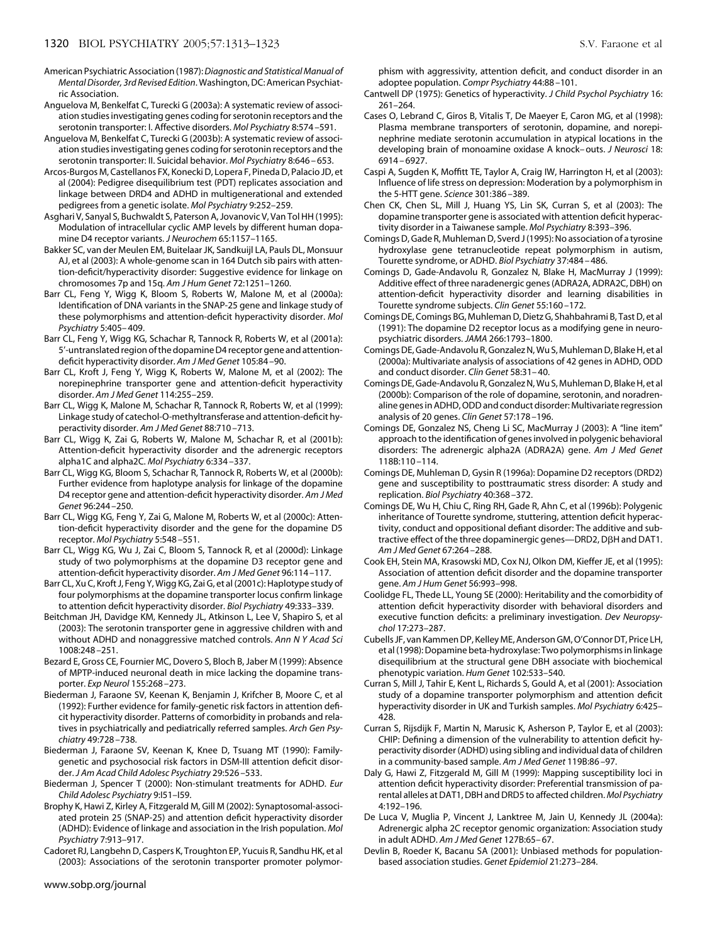<span id="page-7-0"></span>American Psychiatric Association (1987):*Diagnostic and Statistical Manual of Mental Disorder, 3rd Revised Edition*. Washington, DC: American Psychiatric Association.

Anguelova M, Benkelfat C, Turecki G (2003a): A systematic review of association studies investigating genes coding for serotonin receptors and the serotonin transporter: I. Affective disorders. *Mol Psychiatry* 8:574 –591.

- Anguelova M, Benkelfat C, Turecki G (2003b): A systematic review of association studies investigating genes coding for serotonin receptors and the serotonin transporter: II. Suicidal behavior. *Mol Psychiatry* 8:646 – 653.
- Arcos-Burgos M, Castellanos FX, Konecki D, Lopera F, Pineda D, Palacio JD, et al (2004): Pedigree disequilibrium test (PDT) replicates association and linkage between DRD4 and ADHD in multigenerational and extended pedigrees from a genetic isolate. *Mol Psychiatry* 9:252–259.
- Asghari V, Sanyal S, Buchwaldt S, Paterson A, Jovanovic V, Van Tol HH (1995): Modulation of intracellular cyclic AMP levels by different human dopamine D4 receptor variants. *J Neurochem* 65:1157–1165.
- Bakker SC, van der Meulen EM, Buitelaar JK, Sandkuijl LA, Pauls DL, Monsuur AJ, et al (2003): A whole-genome scan in 164 Dutch sib pairs with attention-deficit/hyperactivity disorder: Suggestive evidence for linkage on chromosomes 7p and 15q. *Am J Hum Genet* 72:1251–1260.
- Barr CL, Feng Y, Wigg K, Bloom S, Roberts W, Malone M, et al (2000a): Identification of DNA variants in the SNAP-25 gene and linkage study of these polymorphisms and attention-deficit hyperactivity disorder. *Mol Psychiatry* 5:405– 409.
- Barr CL, Feng Y, Wigg KG, Schachar R, Tannock R, Roberts W, et al (2001a): 5'-untranslated region of the dopamine D4 receptor gene and attentiondeficit hyperactivity disorder. *Am J Med Genet* 105:84 –90.
- Barr CL, Kroft J, Feng Y, Wigg K, Roberts W, Malone M, et al (2002): The norepinephrine transporter gene and attention-deficit hyperactivity disorder. *Am J Med Genet* 114:255–259.
- Barr CL, Wigg K, Malone M, Schachar R, Tannock R, Roberts W, et al (1999): Linkage study of catechol-O-methyltransferase and attention-deficit hyperactivity disorder. *Am J Med Genet* 88:710 –713.
- Barr CL, Wigg K, Zai G, Roberts W, Malone M, Schachar R, et al (2001b): Attention-deficit hyperactivity disorder and the adrenergic receptors alpha1C and alpha2C. *Mol Psychiatry* 6:334 –337.
- Barr CL, Wigg KG, Bloom S, Schachar R, Tannock R, Roberts W, et al (2000b): Further evidence from haplotype analysis for linkage of the dopamine D4 receptor gene and attention-deficit hyperactivity disorder. *Am J Med Genet* 96:244 –250.
- Barr CL, Wigg KG, Feng Y, Zai G, Malone M, Roberts W, et al (2000c): Attention-deficit hyperactivity disorder and the gene for the dopamine D5 receptor. *Mol Psychiatry* 5:548 –551.
- Barr CL, Wigg KG, Wu J, Zai C, Bloom S, Tannock R, et al (2000d): Linkage study of two polymorphisms at the dopamine D3 receptor gene and attention-deficit hyperactivity disorder. *Am J Med Genet* 96:114 –117.
- Barr CL, Xu C, Kroft J, Feng Y, Wigg KG, Zai G, et al (2001c): Haplotype study of four polymorphisms at the dopamine transporter locus confirm linkage to attention deficit hyperactivity disorder. *Biol Psychiatry* 49:333–339.
- Beitchman JH, Davidge KM, Kennedy JL, Atkinson L, Lee V, Shapiro S, et al (2003): The serotonin transporter gene in aggressive children with and without ADHD and nonaggressive matched controls. *Ann N Y Acad Sci* 1008:248 –251.
- Bezard E, Gross CE, Fournier MC, Dovero S, Bloch B, Jaber M (1999): Absence of MPTP-induced neuronal death in mice lacking the dopamine transporter. *Exp Neurol* 155:268 –273.
- Biederman J, Faraone SV, Keenan K, Benjamin J, Krifcher B, Moore C, et al (1992): Further evidence for family-genetic risk factors in attention deficit hyperactivity disorder. Patterns of comorbidity in probands and relatives in psychiatrically and pediatrically referred samples. *Arch Gen Psychiatry* 49:728 –738.
- Biederman J, Faraone SV, Keenan K, Knee D, Tsuang MT (1990): Familygenetic and psychosocial risk factors in DSM-III attention deficit disorder. *J Am Acad Child Adolesc Psychiatry* 29:526 –533.
- Biederman J, Spencer T (2000): Non-stimulant treatments for ADHD. *Eur Child Adolesc Psychiatry* 9:I51–I59.
- Brophy K, Hawi Z, Kirley A, Fitzgerald M, Gill M (2002): Synaptosomal-associated protein 25 (SNAP-25) and attention deficit hyperactivity disorder (ADHD): Evidence of linkage and association in the Irish population. *Mol Psychiatry* 7:913–917.
- Cadoret RJ, Langbehn D, Caspers K, Troughton EP, Yucuis R, Sandhu HK, et al (2003): Associations of the serotonin transporter promoter polymor-

phism with aggressivity, attention deficit, and conduct disorder in an adoptee population. *Compr Psychiatry* 44:88 –101.

- Cantwell DP (1975): Genetics of hyperactivity. *J Child Psychol Psychiatry* 16: 261–264.
- Cases O, Lebrand C, Giros B, Vitalis T, De Maeyer E, Caron MG, et al (1998): Plasma membrane transporters of serotonin, dopamine, and norepinephrine mediate serotonin accumulation in atypical locations in the developing brain of monoamine oxidase A knock– outs. *J Neurosci* 18: 6914 – 6927.
- Caspi A, Sugden K, Moffitt TE, Taylor A, Craig IW, Harrington H, et al (2003): Influence of life stress on depression: Moderation by a polymorphism in the 5-HTT gene. *Science* 301:386 –389.
- Chen CK, Chen SL, Mill J, Huang YS, Lin SK, Curran S, et al (2003): The dopamine transporter gene is associated with attention deficit hyperactivity disorder in a Taiwanese sample. *Mol Psychiatry* 8:393–396.
- Comings D, Gade R, Muhleman D, Sverd J (1995): No association of a tyrosine hydroxylase gene tetranucleotide repeat polymorphism in autism, Tourette syndrome, or ADHD. *Biol Psychiatry* 37:484 – 486.
- Comings D, Gade-Andavolu R, Gonzalez N, Blake H, MacMurray J (1999): Additive effect of three naradenergic genes (ADRA2A, ADRA2C, DBH) on attention-deficit hyperactivity disorder and learning disabilities in Tourette syndrome subjects. *Clin Genet* 55:160 –172.
- Comings DE, Comings BG, Muhleman D, Dietz G, Shahbahrami B, Tast D, et al (1991): The dopamine D2 receptor locus as a modifying gene in neuropsychiatric disorders. *JAMA* 266:1793–1800.
- Comings DE, Gade-Andavolu R, Gonzalez N,Wu S, Muhleman D, Blake H, et al (2000a): Multivariate analysis of associations of 42 genes in ADHD, ODD and conduct disorder. *Clin Genet* 58:31– 40.
- Comings DE, Gade-Andavolu R, Gonzalez N, Wu S, Muhleman D, Blake H, et al (2000b): Comparison of the role of dopamine, serotonin, and noradrenaline genes in ADHD, ODD and conduct disorder: Multivariate regression analysis of 20 genes. *Clin Genet* 57:178 –196.
- Comings DE, Gonzalez NS, Cheng Li SC, MacMurray J (2003): A "line item" approach to the identification of genes involved in polygenic behavioral disorders: The adrenergic alpha2A (ADRA2A) gene. *Am J Med Genet* 118B:110 –114.
- Comings DE, Muhleman D, Gysin R (1996a): Dopamine D2 receptors (DRD2) gene and susceptibility to posttraumatic stress disorder: A study and replication. *Biol Psychiatry* 40:368 –372.
- Comings DE, Wu H, Chiu C, Ring RH, Gade R, Ahn C, et al (1996b): Polygenic inheritance of Tourette syndrome, stuttering, attention deficit hyperactivity, conduct and oppositional defiant disorder: The additive and subtractive effect of the three dopaminergic genes—DRD2,  $D\beta H$  and DAT1. *Am J Med Genet* 67:264 –288.
- Cook EH, Stein MA, Krasowski MD, Cox NJ, Olkon DM, Kieffer JE, et al (1995): Association of attention deficit disorder and the dopamine transporter gene. *Am J Hum Genet* 56:993–998.
- Coolidge FL, Thede LL, Young SE (2000): Heritability and the comorbidity of attention deficit hyperactivity disorder with behavioral disorders and executive function deficits: a preliminary investigation. *Dev Neuropsychol* 17:273–287.
- Cubells JF, van Kammen DP, Kelley ME, Anderson GM, O'Connor DT, Price LH, et al (1998): Dopamine beta-hydroxylase: Two polymorphisms in linkage disequilibrium at the structural gene DBH associate with biochemical phenotypic variation. *Hum Genet* 102:533–540.
- Curran S, Mill J, Tahir E, Kent L, Richards S, Gould A, et al (2001): Association study of a dopamine transporter polymorphism and attention deficit hyperactivity disorder in UK and Turkish samples. *Mol Psychiatry* 6:425– 428.
- Curran S, Rijsdijk F, Martin N, Marusic K, Asherson P, Taylor E, et al (2003): CHIP: Defining a dimension of the vulnerability to attention deficit hyperactivity disorder (ADHD) using sibling and individual data of children in a community-based sample. *Am J Med Genet* 119B:86 –97.
- Daly G, Hawi Z, Fitzgerald M, Gill M (1999): Mapping susceptibility loci in attention deficit hyperactivity disorder: Preferential transmission of parental alleles at DAT1, DBH and DRD5 to affected children. *Mol Psychiatry* 4:192–196.
- De Luca V, Muglia P, Vincent J, Lanktree M, Jain U, Kennedy JL (2004a): Adrenergic alpha 2C receptor genomic organization: Association study in adult ADHD. *Am J Med Genet* 127B:65– 67.
- Devlin B, Roeder K, Bacanu SA (2001): Unbiased methods for populationbased association studies. *Genet Epidemiol* 21:273–284.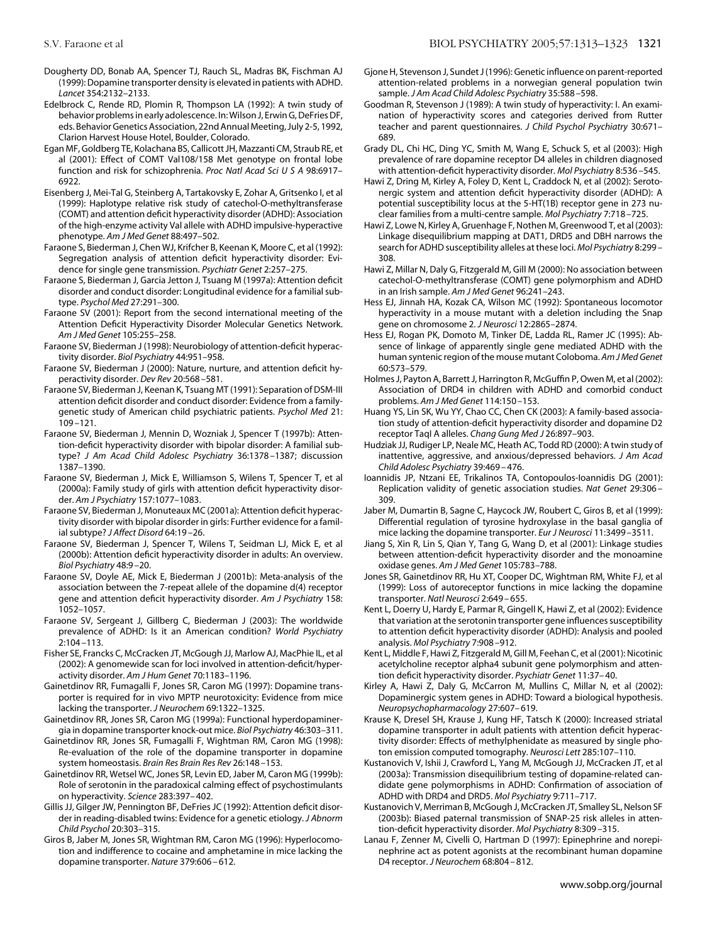- <span id="page-8-0"></span>Dougherty DD, Bonab AA, Spencer TJ, Rauch SL, Madras BK, Fischman AJ (1999): Dopamine transporter density is elevated in patients with ADHD. *Lancet* 354:2132–2133.
- Edelbrock C, Rende RD, Plomin R, Thompson LA (1992): A twin study of behavior problems in early adolescence. In: Wilson J, Erwin G, DeFries DF, eds. Behavior Genetics Association, 22nd Annual Meeting, July 2-5, 1992, Clarion Harvest House Hotel, Boulder, Colorado.
- Egan MF, Goldberg TE, Kolachana BS, Callicott JH, Mazzanti CM, Straub RE, et al (2001): Effect of COMT Val108/158 Met genotype on frontal lobe function and risk for schizophrenia. *Proc Natl Acad SciUSA* 98:6917– 6922.
- Eisenberg J, Mei-Tal G, Steinberg A, Tartakovsky E, Zohar A, Gritsenko I, et al (1999): Haplotype relative risk study of catechol-O-methyltransferase (COMT) and attention deficit hyperactivity disorder (ADHD): Association of the high-enzyme activity Val allele with ADHD impulsive-hyperactive phenotype. *Am J Med Genet* 88:497–502.
- Faraone S, Biederman J, Chen WJ, Krifcher B, Keenan K, Moore C, et al (1992): Segregation analysis of attention deficit hyperactivity disorder: Evidence for single gene transmission. *Psychiatr Genet* 2:257–275.
- Faraone S, Biederman J, Garcia Jetton J, Tsuang M (1997a): Attention deficit disorder and conduct disorder: Longitudinal evidence for a familial subtype. *Psychol Med* 27:291–300.
- Faraone SV (2001): Report from the second international meeting of the Attention Deficit Hyperactivity Disorder Molecular Genetics Network. *Am J Med Genet* 105:255–258.
- Faraone SV, Biederman J (1998): Neurobiology of attention-deficit hyperactivity disorder. *Biol Psychiatry* 44:951–958.
- Faraone SV, Biederman J (2000): Nature, nurture, and attention deficit hyperactivity disorder. *Dev Rev* 20:568 –581.
- Faraone SV, Biederman J, Keenan K, Tsuang MT (1991): Separation of DSM-III attention deficit disorder and conduct disorder: Evidence from a familygenetic study of American child psychiatric patients. *Psychol Med* 21: 109 –121.
- Faraone SV, Biederman J, Mennin D, Wozniak J, Spencer T (1997b): Attention-deficit hyperactivity disorder with bipolar disorder: A familial subtype? *J Am Acad Child Adolesc Psychiatry* 36:1378 –1387; discussion 1387–1390.
- Faraone SV, Biederman J, Mick E, Williamson S, Wilens T, Spencer T, et al (2000a): Family study of girls with attention deficit hyperactivity disorder. *Am J Psychiatry* 157:1077–1083.
- Faraone SV, Biederman J, Monuteaux MC (2001a): Attention deficit hyperactivity disorder with bipolar disorder in girls: Further evidence for a familial subtype? *J Affect Disord* 64:19 –26.
- Faraone SV, Biederman J, Spencer T, Wilens T, Seidman LJ, Mick E, et al (2000b): Attention deficit hyperactivity disorder in adults: An overview. *Biol Psychiatry* 48:9 –20.
- Faraone SV, Doyle AE, Mick E, Biederman J (2001b): Meta-analysis of the association between the 7-repeat allele of the dopamine d(4) receptor gene and attention deficit hyperactivity disorder. *Am J Psychiatry* 158: 1052–1057.
- Faraone SV, Sergeant J, Gillberg C, Biederman J (2003): The worldwide prevalence of ADHD: Is it an American condition? *World Psychiatry* 2:104 –113.
- Fisher SE, Francks C, McCracken JT, McGough JJ, Marlow AJ, MacPhie IL, et al (2002): A genomewide scan for loci involved in attention-deficit/hyperactivity disorder. *Am J Hum Genet* 70:1183–1196.
- Gainetdinov RR, Fumagalli F, Jones SR, Caron MG (1997): Dopamine transporter is required for in vivo MPTP neurotoxicity: Evidence from mice lacking the transporter. *J Neurochem* 69:1322–1325.
- Gainetdinov RR, Jones SR, Caron MG (1999a): Functional hyperdopaminergia in dopamine transporter knock-out mice. *Biol Psychiatry* 46:303–311.
- Gainetdinov RR, Jones SR, Fumagalli F, Wightman RM, Caron MG (1998): Re-evaluation of the role of the dopamine transporter in dopamine system homeostasis. *Brain Res Brain Res Rev* 26:148 –153.
- Gainetdinov RR, Wetsel WC, Jones SR, Levin ED, Jaber M, Caron MG (1999b): Role of serotonin in the paradoxical calming effect of psychostimulants on hyperactivity. *Science* 283:397– 402.
- Gillis JJ, Gilger JW, Pennington BF, DeFries JC (1992): Attention deficit disorder in reading-disabled twins: Evidence for a genetic etiology. *J Abnorm Child Psychol* 20:303–315.
- Giros B, Jaber M, Jones SR, Wightman RM, Caron MG (1996): Hyperlocomotion and indifference to cocaine and amphetamine in mice lacking the dopamine transporter. *Nature* 379:606 – 612.
- Gjone H, Stevenson J, Sundet J (1996): Genetic influence on parent-reported attention-related problems in a norwegian general population twin sample. *J Am Acad Child Adolesc Psychiatry* 35:588 –598.
- Goodman R, Stevenson J (1989): A twin study of hyperactivity: I. An examination of hyperactivity scores and categories derived from Rutter teacher and parent questionnaires. *J Child Psychol Psychiatry* 30:671– 689.
- Grady DL, Chi HC, Ding YC, Smith M, Wang E, Schuck S, et al (2003): High prevalence of rare dopamine receptor D4 alleles in children diagnosed with attention-deficit hyperactivity disorder. *Mol Psychiatry* 8:536 –545.
- Hawi Z, Dring M, Kirley A, Foley D, Kent L, Craddock N, et al (2002): Serotonergic system and attention deficit hyperactivity disorder (ADHD): A potential susceptibility locus at the 5-HT(1B) receptor gene in 273 nuclear families from a multi-centre sample. *Mol Psychiatry* 7:718 –725.
- Hawi Z, Lowe N, Kirley A, Gruenhage F, Nothen M, Greenwood T, et al (2003): Linkage disequilibrium mapping at DAT1, DRD5 and DBH narrows the search for ADHD susceptibility alleles at these loci. *Mol Psychiatry* 8:299 – 308.
- Hawi Z, Millar N, Daly G, Fitzgerald M, Gill M (2000): No association between catechol-O-methyltransferase (COMT) gene polymorphism and ADHD in an Irish sample. *Am J Med Genet* 96:241–243.
- Hess EJ, Jinnah HA, Kozak CA, Wilson MC (1992): Spontaneous locomotor hyperactivity in a mouse mutant with a deletion including the Snap gene on chromosome 2. *J Neurosci* 12:2865–2874.
- Hess EJ, Rogan PK, Domoto M, Tinker DE, Ladda RL, Ramer JC (1995): Absence of linkage of apparently single gene mediated ADHD with the human syntenic region of the mouse mutant Coloboma. *Am J Med Genet* 60:573–579.
- Holmes J, Payton A, Barrett J, Harrington R, McGuffin P, Owen M, et al (2002): Association of DRD4 in children with ADHD and comorbid conduct problems. *Am J Med Genet* 114:150 –153.
- Huang YS, Lin SK, Wu YY, Chao CC, Chen CK (2003): A family-based association study of attention-deficit hyperactivity disorder and dopamine D2 receptor TaqI A alleles. *Chang Gung Med J* 26:897–903.
- Hudziak JJ, Rudiger LP, Neale MC, Heath AC, Todd RD (2000): A twin study of inattentive, aggressive, and anxious/depressed behaviors. *J Am Acad Child Adolesc Psychiatry* 39:469 – 476.
- Ioannidis JP, Ntzani EE, Trikalinos TA, Contopoulos-Ioannidis DG (2001): Replication validity of genetic association studies. *Nat Genet* 29:306 – 309.
- Jaber M, Dumartin B, Sagne C, Haycock JW, Roubert C, Giros B, et al (1999): Differential regulation of tyrosine hydroxylase in the basal ganglia of mice lacking the dopamine transporter. *Eur J Neurosci* 11:3499 –3511.
- Jiang S, Xin R, Lin S, Qian Y, Tang G, Wang D, et al (2001): Linkage studies between attention-deficit hyperactivity disorder and the monoamine oxidase genes. *Am J Med Genet* 105:783–788.
- Jones SR, Gainetdinov RR, Hu XT, Cooper DC, Wightman RM, White FJ, et al (1999): Loss of autoreceptor functions in mice lacking the dopamine transporter. *Natl Neurosci* 2:649 – 655.
- Kent L, Doerry U, Hardy E, Parmar R, Gingell K, Hawi Z, et al (2002): Evidence that variation at the serotonin transporter gene influences susceptibility to attention deficit hyperactivity disorder (ADHD): Analysis and pooled analysis. *Mol Psychiatry* 7:908 –912.
- Kent L, Middle F, Hawi Z, Fitzgerald M, Gill M, Feehan C, et al (2001): Nicotinic acetylcholine receptor alpha4 subunit gene polymorphism and attention deficit hyperactivity disorder. *Psychiatr Genet* 11:37– 40.
- Kirley A, Hawi Z, Daly G, McCarron M, Mullins C, Millar N, et al (2002): Dopaminergic system genes in ADHD: Toward a biological hypothesis. *Neuropsychopharmacology* 27:607– 619.
- Krause K, Dresel SH, Krause J, Kung HF, Tatsch K (2000): Increased striatal dopamine transporter in adult patients with attention deficit hyperactivity disorder: Effects of methylphenidate as measured by single photon emission computed tomography. *Neurosci Lett* 285:107–110.
- Kustanovich V, Ishii J, Crawford L, Yang M, McGough JJ, McCracken JT, et al (2003a): Transmission disequilibrium testing of dopamine-related candidate gene polymorphisms in ADHD: Confirmation of association of ADHD with DRD4 and DRD5. *Mol Psychiatry* 9:711–717.
- Kustanovich V, Merriman B, McGough J, McCracken JT, Smalley SL, Nelson SF (2003b): Biased paternal transmission of SNAP-25 risk alleles in attention-deficit hyperactivity disorder. *Mol Psychiatry* 8:309 –315.
- Lanau F, Zenner M, Civelli O, Hartman D (1997): Epinephrine and norepinephrine act as potent agonists at the recombinant human dopamine D4 receptor. *J Neurochem* 68:804 – 812.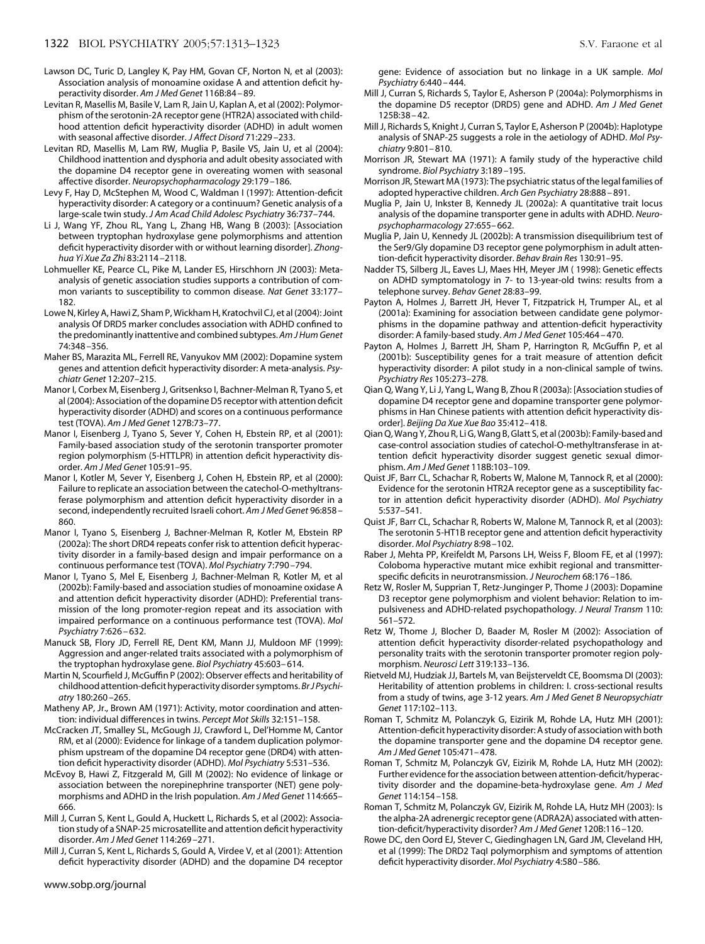- <span id="page-9-0"></span>Lawson DC, Turic D, Langley K, Pay HM, Govan CF, Norton N, et al (2003): Association analysis of monoamine oxidase A and attention deficit hyperactivity disorder. *Am J Med Genet* 116B:84 – 89.
- Levitan R, Masellis M, Basile V, Lam R, Jain U, Kaplan A, et al (2002): Polymorphism of the serotonin-2A receptor gene (HTR2A) associated with childhood attention deficit hyperactivity disorder (ADHD) in adult women with seasonal affective disorder. *J Affect Disord* 71:229 –233.
- Levitan RD, Masellis M, Lam RW, Muglia P, Basile VS, Jain U, et al (2004): Childhood inattention and dysphoria and adult obesity associated with the dopamine D4 receptor gene in overeating women with seasonal affective disorder. *Neuropsychopharmacology* 29:179 –186.
- Levy F, Hay D, McStephen M, Wood C, Waldman I (1997): Attention-deficit hyperactivity disorder: A category or a continuum? Genetic analysis of a large-scale twin study. *J Am Acad Child Adolesc Psychiatry* 36:737–744.
- Li J, Wang YF, Zhou RL, Yang L, Zhang HB, Wang B (2003): [Association between tryptophan hydroxylase gene polymorphisms and attention deficit hyperactivity disorder with or without learning disorder]. *Zhonghua Yi Xue Za Zhi* 83:2114 –2118.
- Lohmueller KE, Pearce CL, Pike M, Lander ES, Hirschhorn JN (2003): Metaanalysis of genetic association studies supports a contribution of common variants to susceptibility to common disease. *Nat Genet* 33:177– 182.
- Lowe N, Kirley A, Hawi Z, Sham P, Wickham H, Kratochvil CJ, et al (2004): Joint analysis Of DRD5 marker concludes association with ADHD confined to the predominantly inattentive and combined subtypes. *Am J Hum Genet* 74:348 –356.
- Maher BS, Marazita ML, Ferrell RE, Vanyukov MM (2002): Dopamine system genes and attention deficit hyperactivity disorder: A meta-analysis. *Psychiatr Genet* 12:207–215.
- Manor I, Corbex M, Eisenberg J, Gritsenkso I, Bachner-Melman R, Tyano S, et al (2004): Association of the dopamine D5 receptor with attention deficit hyperactivity disorder (ADHD) and scores on a continuous performance test (TOVA). *Am J Med Genet* 127B:73–77.
- Manor I, Eisenberg J, Tyano S, Sever Y, Cohen H, Ebstein RP, et al (2001): Family-based association study of the serotonin transporter promoter region polymorphism (5-HTTLPR) in attention deficit hyperactivity disorder. *Am J Med Genet* 105:91–95.
- Manor I, Kotler M, Sever Y, Eisenberg J, Cohen H, Ebstein RP, et al (2000): Failure to replicate an association between the catechol-O-methyltransferase polymorphism and attention deficit hyperactivity disorder in a second, independently recruited Israeli cohort. *Am J Med Genet* 96:858 – 860.
- Manor I, Tyano S, Eisenberg J, Bachner-Melman R, Kotler M, Ebstein RP (2002a): The short DRD4 repeats confer risk to attention deficit hyperactivity disorder in a family-based design and impair performance on a continuous performance test (TOVA). *Mol Psychiatry* 7:790 –794.
- Manor I, Tyano S, Mel E, Eisenberg J, Bachner-Melman R, Kotler M, et al (2002b): Family-based and association studies of monoamine oxidase A and attention deficit hyperactivity disorder (ADHD): Preferential transmission of the long promoter-region repeat and its association with impaired performance on a continuous performance test (TOVA). *Mol Psychiatry* 7:626 – 632.
- Manuck SB, Flory JD, Ferrell RE, Dent KM, Mann JJ, Muldoon MF (1999): Aggression and anger-related traits associated with a polymorphism of the tryptophan hydroxylase gene. *Biol Psychiatry* 45:603– 614.
- Martin N, Scourfield J, McGuffin P (2002): Observer effects and heritability of childhood attention-deficit hyperactivity disorder symptoms. *Br J Psychiatry* 180:260 –265.
- Matheny AP, Jr., Brown AM (1971): Activity, motor coordination and attention: individual differences in twins. *Percept Mot Skills* 32:151–158.
- McCracken JT, Smalley SL, McGough JJ, Crawford L, Del'Homme M, Cantor RM, et al (2000): Evidence for linkage of a tandem duplication polymorphism upstream of the dopamine D4 receptor gene (DRD4) with attention deficit hyperactivity disorder (ADHD). *Mol Psychiatry* 5:531–536.
- McEvoy B, Hawi Z, Fitzgerald M, Gill M (2002): No evidence of linkage or association between the norepinephrine transporter (NET) gene polymorphisms and ADHD in the Irish population. *Am J Med Genet* 114:665– 666.
- Mill J, Curran S, Kent L, Gould A, Huckett L, Richards S, et al (2002): Association study of a SNAP-25 microsatellite and attention deficit hyperactivity disorder. *Am J Med Genet* 114:269 –271.
- Mill J, Curran S, Kent L, Richards S, Gould A, Virdee V, et al (2001): Attention deficit hyperactivity disorder (ADHD) and the dopamine D4 receptor

gene: Evidence of association but no linkage in a UK sample. *Mol Psychiatry* 6:440 – 444.

- Mill J, Curran S, Richards S, Taylor E, Asherson P (2004a): Polymorphisms in the dopamine D5 receptor (DRD5) gene and ADHD. *Am J Med Genet* 125B:38 – 42.
- Mill J, Richards S, Knight J, Curran S, Taylor E, Asherson P (2004b): Haplotype analysis of SNAP-25 suggests a role in the aetiology of ADHD. *Mol Psychiatry* 9:801– 810.
- Morrison JR, Stewart MA (1971): A family study of the hyperactive child syndrome. *Biol Psychiatry* 3:189 –195.
- Morrison JR, Stewart MA (1973): The psychiatric status of the legal families of adopted hyperactive children. *Arch Gen Psychiatry* 28:888 – 891.
- Muglia P, Jain U, Inkster B, Kennedy JL (2002a): A quantitative trait locus analysis of the dopamine transporter gene in adults with ADHD. *Neuropsychopharmacology* 27:655– 662.
- Muglia P, Jain U, Kennedy JL (2002b): A transmission disequilibrium test of the Ser9/Gly dopamine D3 receptor gene polymorphism in adult attention-deficit hyperactivity disorder. *Behav Brain Res* 130:91–95.
- Nadder TS, Silberg JL, Eaves LJ, Maes HH, Meyer JM ( 1998): Genetic effects on ADHD symptomatology in 7- to 13-year-old twins: results from a telephone survey. *Behav Genet* 28:83–99.
- Payton A, Holmes J, Barrett JH, Hever T, Fitzpatrick H, Trumper AL, et al (2001a): Examining for association between candidate gene polymorphisms in the dopamine pathway and attention-deficit hyperactivity disorder: A family-based study. *Am J Med Genet* 105:464 – 470.
- Payton A, Holmes J, Barrett JH, Sham P, Harrington R, McGuffin P, et al (2001b): Susceptibility genes for a trait measure of attention deficit hyperactivity disorder: A pilot study in a non-clinical sample of twins. *Psychiatry Res* 105:273–278.
- Qian Q, Wang Y, Li J, Yang L, Wang B, Zhou R (2003a): [Association studies of dopamine D4 receptor gene and dopamine transporter gene polymorphisms in Han Chinese patients with attention deficit hyperactivity disorder]. *Beijing Da Xue Xue Bao* 35:412– 418.
- Qian Q, Wang Y, Zhou R, Li G, Wang B, Glatt S, et al (2003b): Family-based and case-control association studies of catechol-O-methyltransferase in attention deficit hyperactivity disorder suggest genetic sexual dimorphism. *Am J Med Genet* 118B:103–109.
- Quist JF, Barr CL, Schachar R, Roberts W, Malone M, Tannock R, et al (2000): Evidence for the serotonin HTR2A receptor gene as a susceptibility factor in attention deficit hyperactivity disorder (ADHD). *Mol Psychiatry* 5:537–541.
- Quist JF, Barr CL, Schachar R, Roberts W, Malone M, Tannock R, et al (2003): The serotonin 5-HT1B receptor gene and attention deficit hyperactivity disorder. *Mol Psychiatry* 8:98 –102.
- Raber J, Mehta PP, Kreifeldt M, Parsons LH, Weiss F, Bloom FE, et al (1997): Coloboma hyperactive mutant mice exhibit regional and transmitterspecific deficits in neurotransmission. *J Neurochem* 68:176 –186.
- Retz W, Rosler M, Supprian T, Retz-Junginger P, Thome J (2003): Dopamine D3 receptor gene polymorphism and violent behavior: Relation to impulsiveness and ADHD-related psychopathology. *J Neural Transm* 110: 561–572.
- Retz W, Thome J, Blocher D, Baader M, Rosler M (2002): Association of attention deficit hyperactivity disorder-related psychopathology and personality traits with the serotonin transporter promoter region polymorphism. *Neurosci Lett* 319:133–136.
- Rietveld MJ, Hudziak JJ, Bartels M, van Beijsterveldt CE, Boomsma DI (2003): Heritability of attention problems in children: I. cross-sectional results from a study of twins, age 3-12 years. *Am J Med Genet B Neuropsychiatr Genet* 117:102–113.
- Roman T, Schmitz M, Polanczyk G, Eizirik M, Rohde LA, Hutz MH (2001): Attention-deficit hyperactivity disorder: A study of association with both the dopamine transporter gene and the dopamine D4 receptor gene. *Am J Med Genet* 105:471– 478.
- Roman T, Schmitz M, Polanczyk GV, Eizirik M, Rohde LA, Hutz MH (2002): Further evidence for the association between attention-deficit/hyperactivity disorder and the dopamine-beta-hydroxylase gene. *Am J Med Genet* 114:154 –158.
- Roman T, Schmitz M, Polanczyk GV, Eizirik M, Rohde LA, Hutz MH (2003): Is the alpha-2A adrenergic receptor gene (ADRA2A) associated with attention-deficit/hyperactivity disorder? *Am J Med Genet* 120B:116 –120.
- Rowe DC, den Oord EJ, Stever C, Giedinghagen LN, Gard JM, Cleveland HH, et al (1999): The DRD2 TaqI polymorphism and symptoms of attention deficit hyperactivity disorder. *Mol Psychiatry* 4:580 –586.